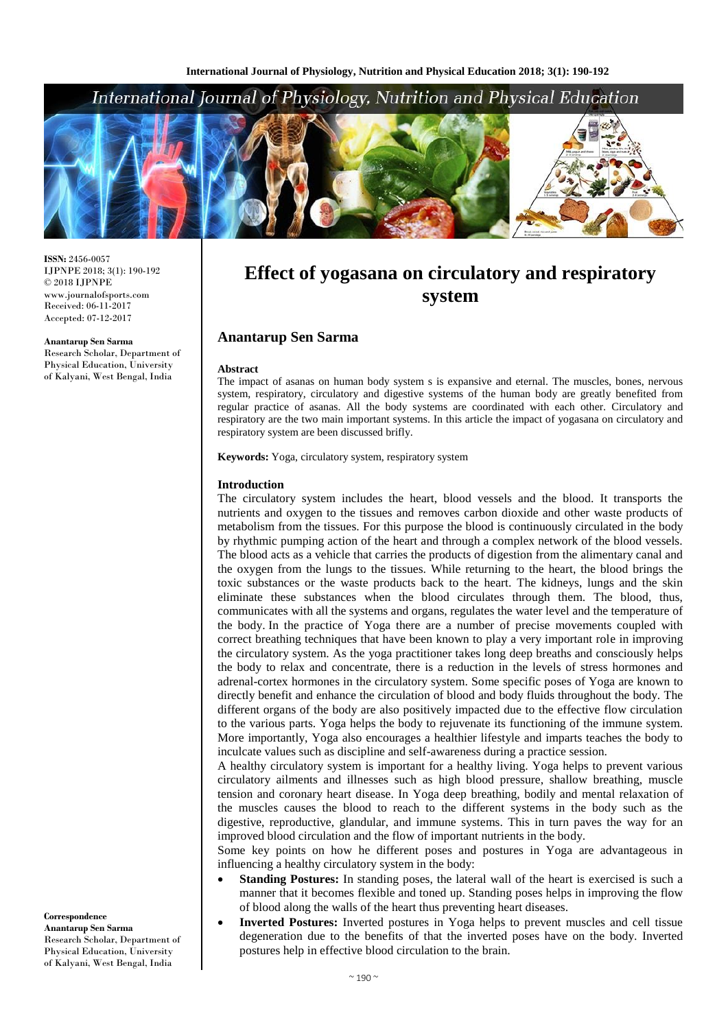## International Journal of Physiology, Nutrition and Physical Education



**ISSN:** 2456-0057 IJPNPE 2018; 3(1): 190-192  $\odot$  2018 IJPNPE www.journalofsports.com Received: 06-11-2017 Accepted: 07-12-2017

**Anantarup Sen Sarma** Research Scholar, Department of Physical Education, University of Kalyani, West Bengal, India

# **Effect of yogasana on circulatory and respiratory system**

## **Anantarup Sen Sarma**

#### **Abstract**

The impact of asanas on human body system s is expansive and eternal. The muscles, bones, nervous system, respiratory, circulatory and digestive systems of the human body are greatly benefited from regular practice of asanas. All the body systems are coordinated with each other. Circulatory and respiratory are the two main important systems. In this article the impact of yogasana on circulatory and respiratory system are been discussed brifly.

**Keywords:** Yoga, circulatory system, respiratory system

#### **Introduction**

The circulatory system includes the heart, blood vessels and the blood. It transports the nutrients and oxygen to the tissues and removes carbon dioxide and other waste products of metabolism from the tissues. For this purpose the blood is continuously circulated in the body by rhythmic pumping action of the heart and through a complex network of the blood vessels. The blood acts as a vehicle that carries the products of digestion from the alimentary canal and the oxygen from the lungs to the tissues. While returning to the heart, the blood brings the toxic substances or the waste products back to the heart. The kidneys, lungs and the skin eliminate these substances when the blood circulates through them. The blood, thus, communicates with all the systems and organs, regulates the water level and the temperature of the body. In the practice of Yoga there are a number of precise movements coupled with correct breathing techniques that have been known to play a very important role in improving the circulatory system. As the yoga practitioner takes long deep breaths and consciously helps the body to relax and concentrate, there is a reduction in the levels of stress hormones and adrenal-cortex hormones in the circulatory system. Some specific poses of Yoga are known to directly benefit and enhance the circulation of blood and body fluids throughout the body. The different organs of the body are also positively impacted due to the effective flow circulation to the various parts. Yoga helps the body to rejuvenate its functioning of the immune system. More importantly, Yoga also encourages a healthier lifestyle and imparts teaches the body to inculcate values such as discipline and self-awareness during a practice session.

A healthy circulatory system is important for a healthy living. Yoga helps to prevent various circulatory ailments and illnesses such as high blood pressure, shallow breathing, muscle tension and coronary heart disease. In Yoga deep breathing, bodily and mental relaxation of the muscles causes the blood to reach to the different systems in the body such as the digestive, reproductive, glandular, and immune systems. This in turn paves the way for an improved blood circulation and the flow of important nutrients in the body.

Some key points on how he different poses and postures in Yoga are advantageous in influencing a healthy circulatory system in the body:

- **Standing Postures:** In standing poses, the lateral wall of the heart is exercised is such a manner that it becomes flexible and toned up. Standing poses helps in improving the flow of blood along the walls of the heart thus preventing heart diseases.
- **Inverted Postures:** Inverted postures in Yoga helps to prevent muscles and cell tissue degeneration due to the benefits of that the inverted poses have on the body. Inverted postures help in effective blood circulation to the brain.

**Correspondence Anantarup Sen Sarma** Research Scholar, Department of Physical Education, University of Kalyani, West Bengal, India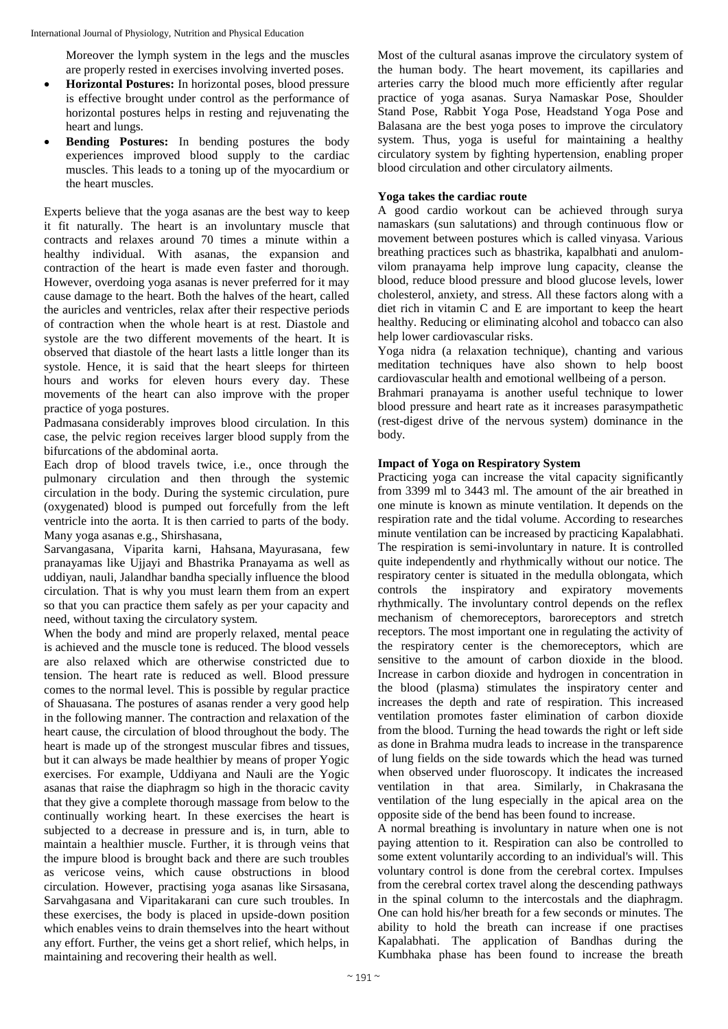Moreover the lymph system in the legs and the muscles are properly rested in exercises involving inverted poses.

- **Horizontal Postures:** In horizontal poses, blood pressure is effective brought under control as the performance of horizontal postures helps in resting and rejuvenating the heart and lungs.
- **Bending Postures:** In bending postures the body experiences improved blood supply to the cardiac muscles. This leads to a toning up of the myocardium or the heart muscles.

Experts believe that the yoga asanas are the best way to keep it fit naturally. The heart is an involuntary muscle that contracts and relaxes around 70 times a minute within a healthy individual. With asanas, the expansion and contraction of the heart is made even faster and thorough. However, overdoing yoga asanas is never preferred for it may cause damage to the heart. Both the halves of the heart, called the auricles and ventricles, relax after their respective periods of contraction when the whole heart is at rest. Diastole and systole are the two different movements of the heart. It is observed that diastole of the heart lasts a little longer than its systole. Hence, it is said that the heart sleeps for thirteen hours and works for eleven hours every day. These movements of the heart can also improve with the proper practice of yoga postures.

Padmasana considerably improves blood circulation. In this case, the pelvic region receives larger blood supply from the bifurcations of the abdominal aorta.

Each drop of blood travels twice, i.e., once through the pulmonary circulation and then through the systemic circulation in the body. During the systemic circulation, pure (oxygenated) blood is pumped out forcefully from the left ventricle into the aorta. It is then carried to parts of the body. Many yoga asanas e.g., Shirshasana,

Sarvangasana, Viparita karni, Hahsana, Mayurasana, few pranayamas like Ujjayi and Bhastrika Pranayama as well as uddiyan, nauli, Jalandhar bandha specially influence the blood circulation. That is why you must learn them from an expert so that you can practice them safely as per your capacity and need, without taxing the circulatory system.

When the body and mind are properly relaxed, mental peace is achieved and the muscle tone is reduced. The blood vessels are also relaxed which are otherwise constricted due to tension. The heart rate is reduced as well. Blood pressure comes to the normal level. This is possible by regular practice of Shauasana. The postures of asanas render a very good help in the following manner. The contraction and relaxation of the heart cause, the circulation of blood throughout the body. The heart is made up of the strongest muscular fibres and tissues, but it can always be made healthier by means of proper Yogic exercises. For example, Uddiyana and Nauli are the Yogic asanas that raise the diaphragm so high in the thoracic cavity that they give a complete thorough massage from below to the continually working heart. In these exercises the heart is subjected to a decrease in pressure and is, in turn, able to maintain a healthier muscle. Further, it is through veins that the impure blood is brought back and there are such troubles as vericose veins, which cause obstructions in blood circulation. However, practising yoga asanas like Sirsasana, Sarvahgasana and Viparitakarani can cure such troubles. In these exercises, the body is placed in upside-down position which enables veins to drain themselves into the heart without any effort. Further, the veins get a short relief, which helps, in maintaining and recovering their health as well.

Most of the cultural asanas improve the circulatory system of the human body. The heart movement, its capillaries and arteries carry the blood much more efficiently after regular practice of yoga asanas. Surya Namaskar Pose, Shoulder Stand Pose, Rabbit Yoga Pose, Headstand Yoga Pose and Balasana are the best yoga poses to improve the circulatory system. Thus, yoga is useful for maintaining a healthy circulatory system by fighting hypertension, enabling proper blood circulation and other circulatory ailments.

## **Yoga takes the cardiac route**

A good cardio workout can be achieved through surya namaskars (sun salutations) and through continuous flow or movement between postures which is called vinyasa. Various breathing practices such as bhastrika, kapalbhati and anulomvilom pranayama help improve lung capacity, cleanse the blood, reduce blood pressure and blood glucose levels, lower cholesterol, anxiety, and stress. All these factors along with a diet rich in vitamin C and E are important to keep the heart healthy. Reducing or eliminating alcohol and tobacco can also help lower cardiovascular risks.

Yoga nidra (a relaxation technique), chanting and various meditation techniques have also shown to help boost cardiovascular health and emotional wellbeing of a person.

Brahmari pranayama is another useful technique to lower blood pressure and heart rate as it increases parasympathetic (rest-digest drive of the nervous system) dominance in the body.

### **Impact of Yoga on Respiratory System**

Practicing yoga can increase the vital capacity significantly from 3399 ml to 3443 ml. The amount of the air breathed in one minute is known as minute ventilation. It depends on the respiration rate and the tidal volume. According to researches minute ventilation can be increased by practicing Kapalabhati. The respiration is semi-involuntary in nature. It is controlled quite independently and rhythmically without our notice. The respiratory center is situated in the medulla oblongata, which controls the inspiratory and expiratory movements rhythmically. The involuntary control depends on the reflex mechanism of chemoreceptors, baroreceptors and stretch receptors. The most important one in regulating the activity of the respiratory center is the chemoreceptors, which are sensitive to the amount of carbon dioxide in the blood. Increase in carbon dioxide and hydrogen in concentration in the blood (plasma) stimulates the inspiratory center and increases the depth and rate of respiration. This increased ventilation promotes faster elimination of carbon dioxide from the blood. Turning the head towards the right or left side as done in Brahma mudra leads to increase in the transparence of lung fields on the side towards which the head was turned when observed under fluoroscopy. It indicates the increased ventilation in that area. Similarly, in Chakrasana the ventilation of the lung especially in the apical area on the opposite side of the bend has been found to increase.

A normal breathing is involuntary in nature when one is not paying attention to it. Respiration can also be controlled to some extent voluntarily according to an individual's will. This voluntary control is done from the cerebral cortex. Impulses from the cerebral cortex travel along the descending pathways in the spinal column to the intercostals and the diaphragm. One can hold his/her breath for a few seconds or minutes. The ability to hold the breath can increase if one practises Kapalabhati. The application of Bandhas during the Kumbhaka phase has been found to increase the breath